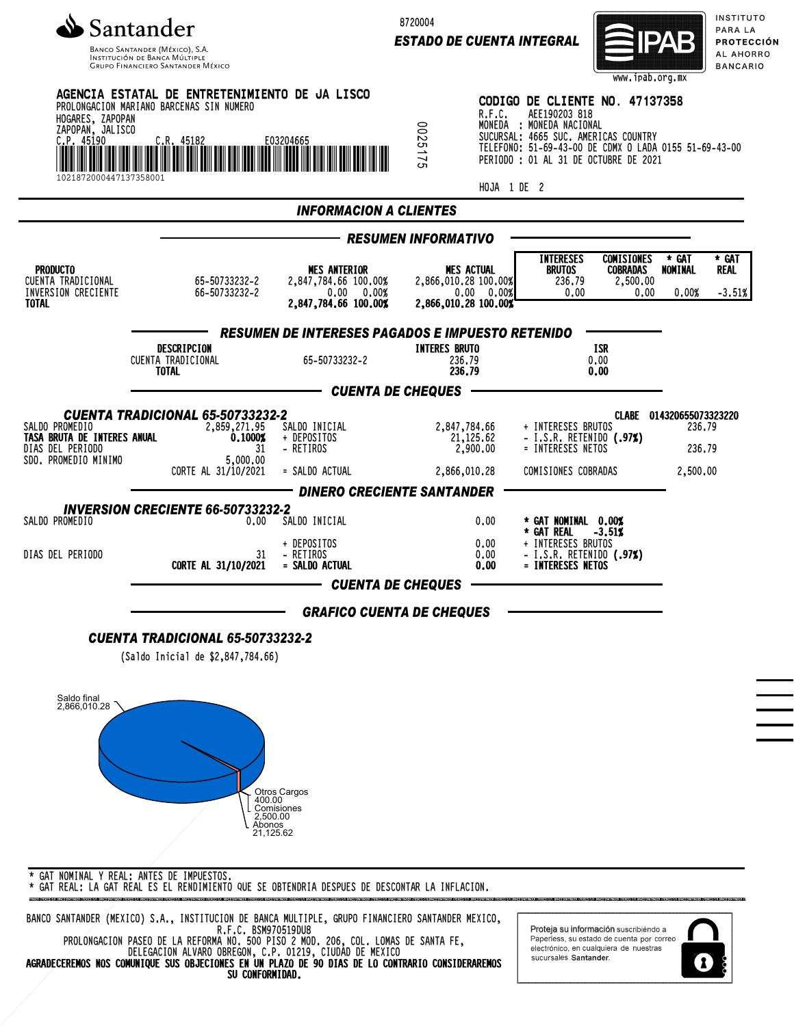

INSTITUCIÓN DE BANCA MÚLTIP **GRUPO FINANCIERO SANTANDER MÉXICO**  8720004

*ESTADO DE CUENTA INTEGRAL*



INSTITUTO PARA LA PROTECCIÓN AL AHORRO **BANCARIO** 



\* GAT REAL: LA GAT REAL ES EL RENDIMIENTO QUE SE OBTENDRIA DESPUES DE DESCONTAR LA INFLACION.

BANCO SANTANDER (MEXICO) S.A., INSTITUCION DE BANCA MULTIPLE, GRUPO FINANCIERO SANTANDER MEXICO, R.F.C. BSM970519DU8 PROLONGACION PASEO DE LA REFORMA NO. 500 PISO 2 MOD. 206, COL. LOMAS DE SANTA FE, DELEGACION ALVARO OBREGON, C.P. 01219, CIUDAD DE MEXICO

AGRADECEREMOS NOS COMUNIQUE SUS OBJECIONES EN UN PLAZO DE 90 DIAS DE LO CONTRARIO CONSIDERAREMOS SU CONFORMIDAD.

Proteja su información suscribiéndo a Paperless, su estado de cuenta por correo electrónico, en cualquiera de nuestras sucursales Santander.

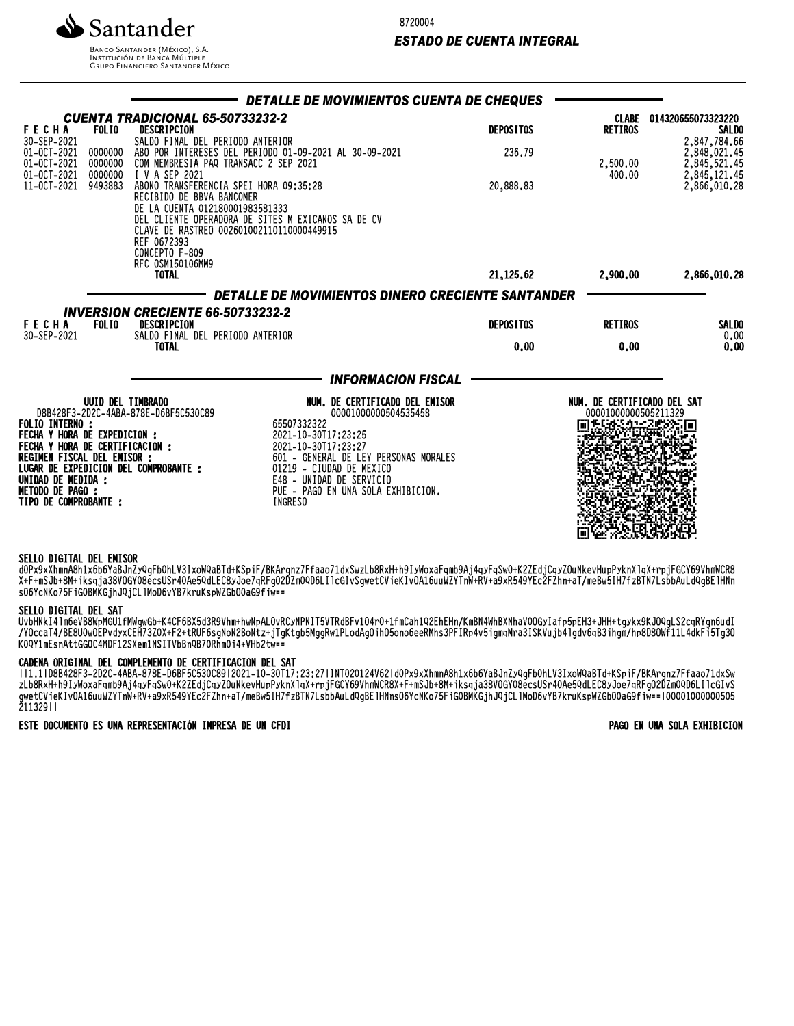

**BANCO SANTANDER (MÉXICO), S.A. INSTITUCIÓN DE BANCA MÚLTIPLE**<br>INSTITUCIÓN DE BANCA MÚLTIPLE<br>GRUPO FINANCIERO SANTANDER MÉXICO 8720004

## *ESTADO DE CUENTA INTEGRAL*

|                                                                                                                                            |                               |                                                                                                                       | DETALLE DE MOVIMIENTOS CUENTA DE CHEQUES                                                        |                  |                                                     |                                              |
|--------------------------------------------------------------------------------------------------------------------------------------------|-------------------------------|-----------------------------------------------------------------------------------------------------------------------|-------------------------------------------------------------------------------------------------|------------------|-----------------------------------------------------|----------------------------------------------|
| <b>FECHA</b><br>30-SEP-2021                                                                                                                | <b>FOLIO</b>                  | CUENTA TRADICIONAL 65-50733232-2<br>DESCRIPCION<br>SALDO FINAL DEL PERIODO ANTERIOR                                   |                                                                                                 | <b>DEPOSITOS</b> | <b>RETIROS</b>                                      | CLABE 014320655073323220<br><b>SALDO</b>     |
| 01-0CT-2021<br>01-0CT-2021<br>01-0CT-2021                                                                                                  | 0000000<br>0000000<br>0000000 | COM MEMBRESIA PAQ TRANSACC 2 SEP 2021<br>I V A SEP 2021                                                               | ABO POR INTERESES DEL PERIODO 01-09-2021 AL 30-09-2021                                          | 236.79           | 2,500.00<br>400.00                                  | 2,847,784.66<br>2,848,021.45<br>2,845,521.45 |
| 11-0CT-2021                                                                                                                                | 9493883                       | ABONO TRANSFERENCIA SPEI HORA 09:35:28<br>RECIBIDO DE BBVA BANCOMER<br>DE LA CUENTA 012180001983581333<br>REF 0672393 | DEL CLIENTE OPERADORA DE SITES M EXICANOS SA DE CV<br>CLAVE DE RASTREO 002601002110110000449915 | 20,888.83        |                                                     | 2,845,121.45<br>2,866,010.28                 |
|                                                                                                                                            |                               | CONCEPTO F-809<br>RFC 0SM150106MM9<br><b>TOTAL</b>                                                                    |                                                                                                 | 21,125.62        | 2,900,00                                            | 2,866,010.28                                 |
|                                                                                                                                            |                               |                                                                                                                       | DETALLE DE MOVIMIENTOS DINERO CRECIENTE SANTANDER                                               |                  |                                                     |                                              |
|                                                                                                                                            |                               |                                                                                                                       |                                                                                                 |                  |                                                     |                                              |
| <b>INVERSION CRECIENTE 66-50733232-2</b><br><b>FECHA</b><br><b>FOLIO</b><br>DESCRIPCION<br>SALDO FINAL DEL PERIODO ANTERIOR<br>30-SEP-2021 |                               |                                                                                                                       |                                                                                                 | <b>DEPOSITOS</b> | <b>RETIROS</b>                                      | SALDO<br>0.00                                |
|                                                                                                                                            |                               | <b>TOTAL</b>                                                                                                          |                                                                                                 |                  | 0.00                                                | 0.00                                         |
|                                                                                                                                            |                               |                                                                                                                       | <b>INFORMACION FISCAL</b>                                                                       |                  |                                                     |                                              |
|                                                                                                                                            | <b>UUID DEL TIMBRADO</b>      | D8B428F3-2D2C-4ABA-878E-D6BF5C530C89                                                                                  | NUM. DE CERTIFICADO DEL EMISOR<br>00001000000504535458                                          |                  | NUM. DE CERTIFICADO DEL SAT<br>00001000000505211329 |                                              |
| <b>FOLIO INTERNO :</b>                                                                                                                     |                               |                                                                                                                       | 65507332322                                                                                     |                  |                                                     |                                              |
| <b>FECHA Y HORA DE EXPEDICION :</b><br>FECHA Y HORA DE CERTIFICACION :                                                                     |                               |                                                                                                                       | 2021-10-30T17:23:25<br>2021-10-30T17:23:27                                                      |                  |                                                     |                                              |
| REGIMEN FISCAL DEL EMISOR :                                                                                                                |                               |                                                                                                                       | 601 - GENERAL DE LEY PERSONAS MORALES                                                           |                  |                                                     |                                              |
| LUGAR DE EXPEDICION DEL COMPROBANTE :<br>UNIDAD DE MEDIDA :                                                                                |                               |                                                                                                                       | 01219 - CIUDAD DE MEXICO<br>E48 - UNIDAD DE SERVICIO                                            |                  |                                                     |                                              |
| <b>METODO DE PAGO :</b>                                                                                                                    |                               |                                                                                                                       | PUE - PAGO EN UNA SOLA EXHIBICION.<br><b>INGRESO</b>                                            |                  |                                                     |                                              |
| TIPO DE COMPROBANTE :                                                                                                                      |                               |                                                                                                                       |                                                                                                 |                  |                                                     |                                              |
|                                                                                                                                            |                               |                                                                                                                       |                                                                                                 |                  |                                                     |                                              |

### SELLO DIGITAL DEL EMISOR

dVPX9XANMNA8N1X0D0YdDJNZYQGFDVNLV3IXOWQdDId+KSPIF/DKAFGNZ/FFddO/1dXSWZLD8KXH+N9IYWOXaFqMD9Aj4qyFqSwV+KZZEdjCqyZUUNKeVHUpPyKNAIqA+rpjFGCY09VNMWCK8 X+F+mSJb+8M+iksqja38VOGY08ecsUSr40Ae5QdLEC8yJoe7qRFgO2DZm0QD6LIlcGIvSgwetCVieKIvOA16uuWZYTnW+RV+a9xR549YEc2FZhn+aT/meBw5IH7fzBTN7LsbbAuLdQgBElHNn sO6YcNKo75FiG0BMKGjhJQjCLlMoD6vYB7kruKspWZGbO0aG9fiw==

#### SELLO DIGITAL DEL SAT

UVDHNKI4IMOeVD8WpMWUlTMWGWWD+K4CF0DX3O3R9VNM+NWNPALUVRCYNPNIISVIRODFV1O4TU+ITMCaN1YZENEHN/KMDN4WNDANNaVVUWYIaTp3pEH3+JHH+tgyKX9KJUYGLSZCQRYgN0uQI /YOccaT4/BE8U0wOEPvdyxCEH73Z0X+F2+tRUF6sgNoN2BoNtz+jTgKtgb5MggRw1PLodAgOihO5ono6eeRMhs3PFIRp4v5igmqMra3ISKVujb4lgdv6qB3ihgm/hp8D8OWf11L4dkFi5Tg3O K0QY1mEsnAttGGOC4MDF12SXem1NSITVbBnQB70Rhm0i4+VHb2tw==

CADENA ORIGINAL DEL COMPLEMENTO DE CERTIFICACION DEL SAT<br>||1.1|D8B428F3-2D2C-4ABA-878E-D6BF5C530C89|2021-10-30T17:23:27|INT020124V62|dOPx9xXhmnA8h1x6b6YaBJnZyQgFb0hLV3IxoWQaBTd+KSpiF/BKArgnz7Ffaao71dxSw ||1.1|D8B428F3-2D2C-4ABA-878E-D6BF5C530C89|2021-10-30T17:23:27|INT020124V62|d0Px9xXhmnA8h1x6b6YaBJnZyQgFb0hLV3IxoWQaBTd+KSpiF/BKArgnz7Ffaao71dxSw zLb8RxH+h9IyWoxaFqmb9Aj4qyFqSw0+K2ZEdjCqyZOuNkevHupPyknXlqX+rpjFGCY69VhmWCR8X+F+mSJb+8M+iksqja38VOGY08ecsUSr40Ae5QdLEC8yJoe7qRFgO2DZm0QD6LIlcGIvS gwetCVieKIvOA16uuWZYTnW+RV+a9xR549YEc2FZhn+aT/meBw5IH7fzBTN7LsbbAuLdQgBElHNnsO6YcNKo75FiG0BMKGjhJQjCLlMoD6vYB7kruKspWZGbO0aG9fiw==|00001000000505 211329||

## ESTE DOCUMENTO ES UNA REPRESENTACIÓN IMPRESA DE UN CFDI PAGO EN UNA SOLA EXHIBICION